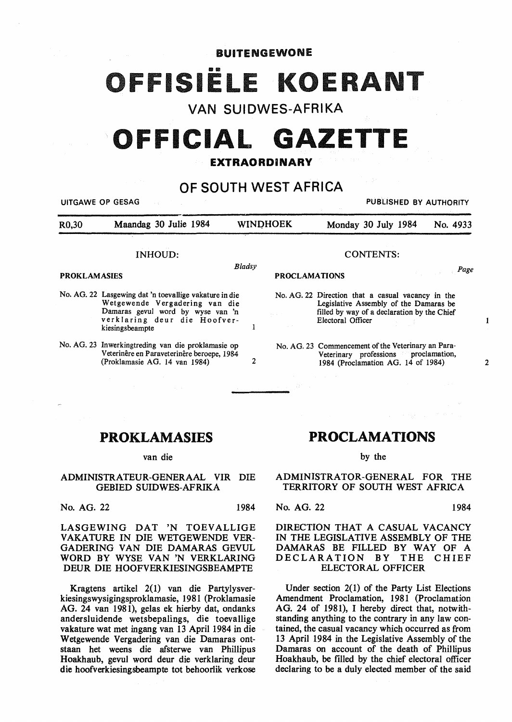## BUITENGEWONE 1SIËLE KOEI

## VAN SUIDWES-AFRIKA

# **OFFICIAL GAZETTE**

### **EXTRAORDINARY**

## OF SOUTH WEST AFRICA

|                     | UITGAWE OP GESAG                                                                                                                                                                 |                  | PUBLISHED BY AUTHORITY                                                                                                                                          |                                                                                                                                  |          |
|---------------------|----------------------------------------------------------------------------------------------------------------------------------------------------------------------------------|------------------|-----------------------------------------------------------------------------------------------------------------------------------------------------------------|----------------------------------------------------------------------------------------------------------------------------------|----------|
| R0,30               | Maandag 30 Julie 1984                                                                                                                                                            | <b>WINDHOEK</b>  |                                                                                                                                                                 | Monday 30 July 1984                                                                                                              | No. 4933 |
| <b>INHOUD:</b>      |                                                                                                                                                                                  | <b>CONTENTS:</b> |                                                                                                                                                                 |                                                                                                                                  |          |
| <b>PROKLAMASIES</b> |                                                                                                                                                                                  | Bladsy           | <b>PROCLAMATIONS</b>                                                                                                                                            |                                                                                                                                  | Page     |
|                     | No. AG. 22 Lasgewing dat 'n toevallige vakature in die<br>Wetgewende Vergadering van die<br>Damaras gevul word by wyse van 'n<br>verklaring deur die Hoofver-<br>kiesingsbeampte |                  | No. AG. 22 Direction that a casual vacancy in the<br>Legislative Assembly of the Damaras be<br>filled by way of a declaration by the Chief<br>Electoral Officer |                                                                                                                                  |          |
|                     | No. AG. 23 Inwerkingtreding van die proklamasie op<br>Veterinêre en Paraveterinêre beroepe, 1984<br>(Proklamasie AG. 14 van 1984)                                                | 2                |                                                                                                                                                                 | No. AG. 23 Commencement of the Veterinary an Para-<br>Veterinary professions proclamation,<br>1984 (Proclamation AG. 14 of 1984) |          |

## **PROKLAMASIES**

#### van die

#### **ADMINISTRATEUR-GENERAAL VIR DIE**  GEBIED SUIDWES-AFRIKA

No. AG. 22 1984

LASGEWING DAT 'N TOEVALLIGE VAKATURE IN DIE WETGEWENDE VER-GADERING VAN DIE DAMARAS GEVUL WORD BY WYSE VAN 'N VERKLARING DEUR DIE HOOFVERKIESINGSBEAMPTE

Kragtens artikel 2(1) van die Partylysverkiesingswysigingsproklamasie, 1981 (Proklamasie AG. 24 van 1981), gelas ek hierby dat, ondanks andersluidende wetsbepalings, die toevallige vakature wat met ingang van 13 April 1984 in die W etgewende Vergadering van die Damaras ontstaan het weens die afsterwe van Phillipus Hoakhaub, gevul word deur die verklaring deur die hoofverkiesingsbeampte tot behoorlik verkose

## **PROCLAMATIONS**

#### by the

ADMINISTRATOR-GENERAL FOR THE TERRITORY OF SOUTH WEST AFRICA

#### No. AG. 22 1984

2

 $\mathbf{1}$ 

#### **DIRECTION THAT A CASUAL VACANCY**  IN THE LEGISLATIVE ASSEMBLY OF THE DAMARAS BE FILLED BY WAY OF A DECLARATION BY THE CHIEF ELECTORAL OFFICER

Under section 2(1) of the Party List Elections Amendment Proclamation, 1981 (Proclamation AG. 24 of 1981), I hereby direct that, notwithstanding anything to the contrary in any law contained, the casual vacancy which occurred as from 13 April 1984 in the Legislative Assembly of the Damaras on account of the death of Phillipus Hoakhaub, be filled by the chief electoral officer declaring to be a duly elected member of the said